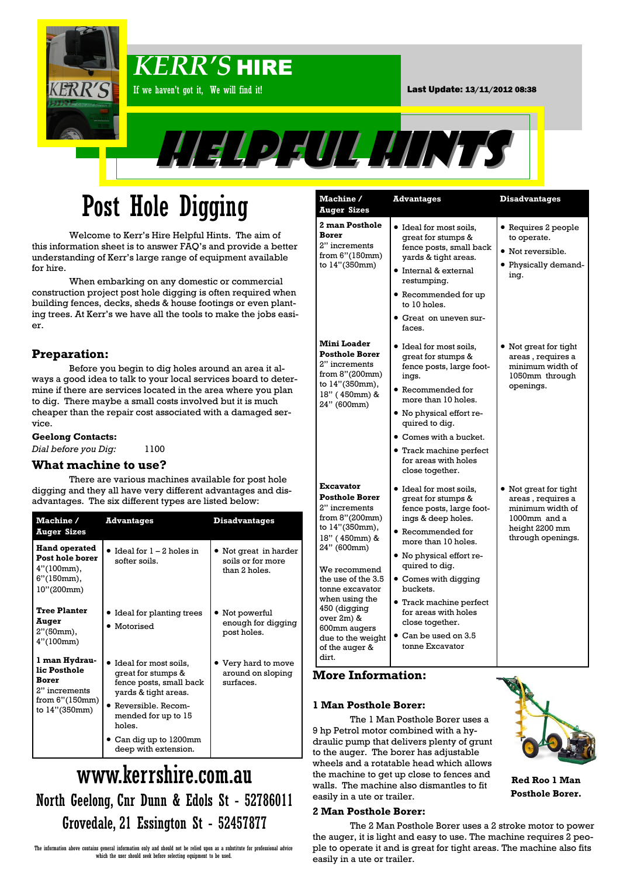

# Post Hole Digging

Welcome to Kerr's Hire Helpful Hints. The aim of this information sheet is to answer FAQ's and provide a better understanding of Kerr's large range of equipment available for hire.

When embarking on any domestic or commercial construction project post hole digging is often required when building fences, decks, sheds & house footings or even planting trees. At Kerr's we have all the tools to make the jobs easier.

### **Preparation:**

Before you begin to dig holes around an area it always a good idea to talk to your local services board to determine if there are services located in the area where you plan to dig. There maybe a small costs involved but it is much cheaper than the repair cost associated with a damaged service.

#### **Geelong Contacts:**

*Dial before you Dig:* 1100

#### **What machine to use?**

There are various machines available for post hole digging and they all have very different advantages and disadvantages. The six different types are listed below:

| <b>Machine /</b><br><b>Auger Sizes</b>                                                     | <b>Advantages</b>                                                                              | <b>Disadvantages</b>                                      |
|--------------------------------------------------------------------------------------------|------------------------------------------------------------------------------------------------|-----------------------------------------------------------|
| <b>Hand operated</b><br>Post hole borer<br>$4''(100mm)$ ,<br>$6''(150mm)$ ,<br>10''(200mm) | Ideal for $1 - 2$ holes in<br>softer soils.                                                    | Not great in harder<br>soils or for more<br>than 2 holes. |
| <b>Tree Planter</b><br>Auger<br>2"(50mm),<br>4''(100mm)                                    | • Ideal for planting trees<br>• Motorised                                                      | Not powerful<br>enough for digging<br>post holes.         |
| 1 man Hydrau-<br>lic Posthole<br>Borer<br>2" increments<br>from 6"(150mm)<br>to 14"(350mm) | Ideal for most soils,<br>great for stumps &<br>fence posts, small back<br>yards & tight areas. | Very hard to move<br>around on sloping<br>surfaces.       |
|                                                                                            | • Reversible, Recom-<br>mended for up to 15<br>holes.                                          |                                                           |
|                                                                                            | Can dig up to 1200mm<br>deep with extension.                                                   |                                                           |

# www.kerrshire.com.au North Geelong, Cnr Dunn & Edols St - 52786011 Grovedale, 21 Essington St - 52457877

| Machine /<br><b>Auger Sizes</b>                                                                                                                                                                                                                                                                  | <b>Advantages</b>                                                                                                                                                                                                                                                                                                                                   | <b>Disadvantages</b>                                                                                                |
|--------------------------------------------------------------------------------------------------------------------------------------------------------------------------------------------------------------------------------------------------------------------------------------------------|-----------------------------------------------------------------------------------------------------------------------------------------------------------------------------------------------------------------------------------------------------------------------------------------------------------------------------------------------------|---------------------------------------------------------------------------------------------------------------------|
| <b>2 man Posthole</b><br><b>Borer</b><br>2" increments<br>from 6"(150mm)<br>to 14"(350mm)                                                                                                                                                                                                        | · Ideal for most soils,<br>great for stumps &<br>fence posts, small back<br>yards & tight areas.<br>$\bullet$ Internal & external<br>restumping.<br>• Recommended for up<br>to 10 holes.<br>• Great on uneven sur-<br>faces.                                                                                                                        | $\bullet$ Requires 2 people<br>to operate.<br>• Not reversible.<br>• Physically demand-<br>ing.                     |
| Mini Loader<br><b>Posthole Borer</b><br>2" increments<br>from 8"(200mm)<br>to 14"(350mm),<br>18" (450mm) &<br>24" (600mm)                                                                                                                                                                        | • Ideal for most soils,<br>great for stumps &<br>fence posts, large foot-<br>ings.<br><b>•</b> Recommended for<br>more than 10 holes.<br>• No physical effort re-<br>quired to diq.<br><b>Comes with a bucket.</b><br><b>•</b> Track machine perfect<br>for areas with holes<br>close together.                                                     | Not great for tight<br>areas, requires a<br>minimum width of<br>1050mm through<br>openings.                         |
| Excavator<br><b>Posthole Borer</b><br>2" increments<br>from 8"(200mm)<br>to 14"(350mm),<br>18" (450mm) &<br>24" (600mm)<br>We recommend<br>the use of the 3.5<br>tonne excavator<br>when using the<br>450 (digging<br>over 2m) &<br>600mm augers<br>due to the weight<br>of the auger &<br>dirt. | • Ideal for most soils,<br>great for stumps &<br>fence posts, large foot-<br>ings & deep holes.<br>• Recommended for<br>more than 10 holes.<br>· No physical effort re-<br>quired to dig.<br>• Comes with digging<br>buckets.<br><b>•</b> Track machine perfect<br>for areas with holes<br>close together.<br>Can be used on 3.5<br>tonne Excavator | Not great for tight<br>areas, requires a<br>minimum width of<br>1000mm and a<br>height 2200 mm<br>through openings. |

#### **1 Man Posthole Borer:**

The 1 Man Posthole Borer uses a 9 hp Petrol motor combined with a hydraulic pump that delivers plenty of grunt to the auger. The borer has adjustable wheels and a rotatable head which allows the machine to get up close to fences and walls. The machine also dismantles to fit easily in a ute or trailer.

#### **2 Man Posthole Borer:**



**Red Roo 1 Man Posthole Borer.**

The 2 Man Posthole Borer uses a 2 stroke motor to power the auger, it is light and easy to use. The machine requires 2 people to operate it and is great for tight areas. The machine also fits easily in a ute or trailer.